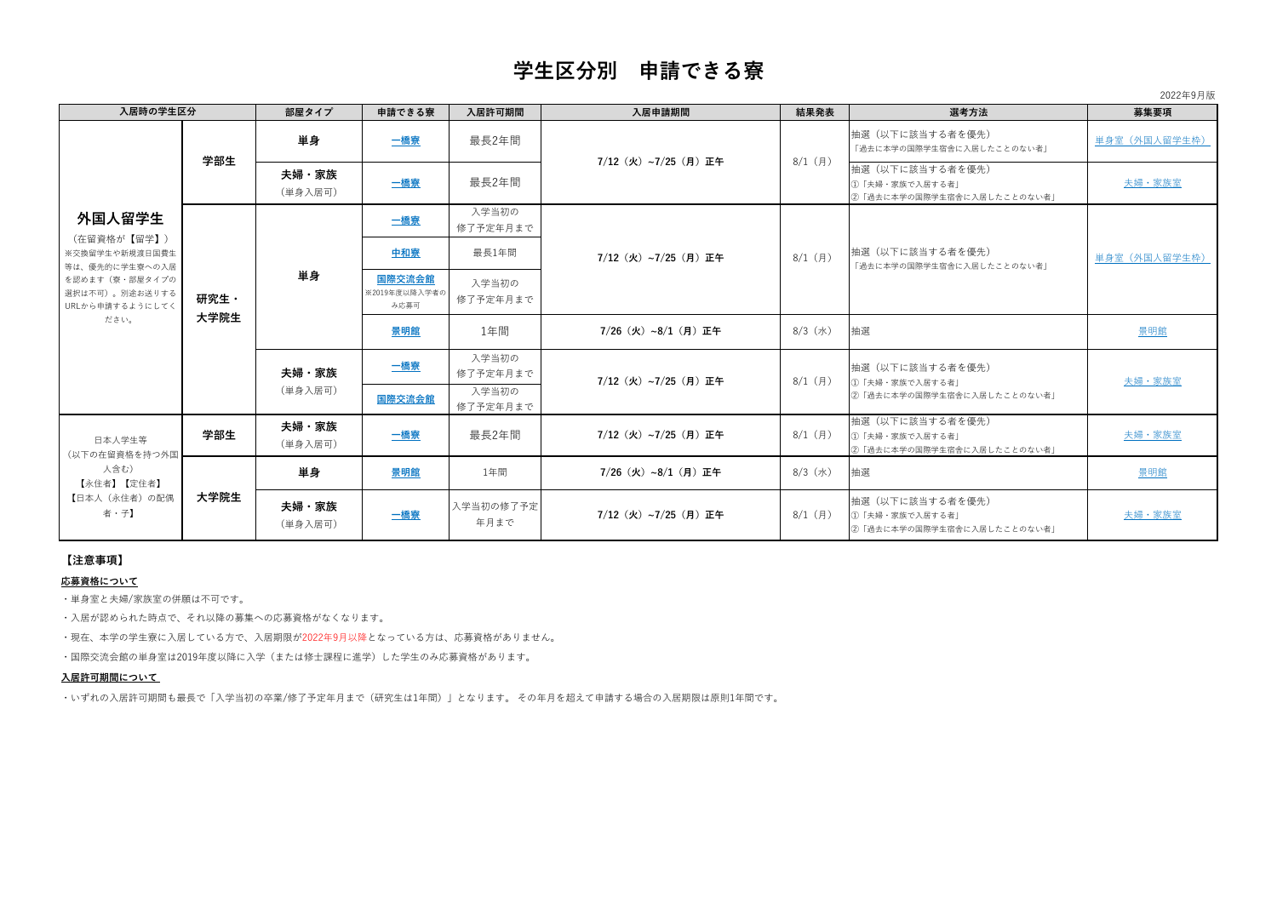## **【注意事項】**

### **応募資格について**

| 入居時の学生区分                                                                                                                 |              | 部屋タイプ            | 申請できる寮                                 | 入居許可期間                     | 入居申請期間                                            | 結果発表      | 選考方法                                                              | 募集要項          |
|--------------------------------------------------------------------------------------------------------------------------|--------------|------------------|----------------------------------------|----------------------------|---------------------------------------------------|-----------|-------------------------------------------------------------------|---------------|
| 外国人留学生<br>(在留資格が【留学】)<br>※交換留学生や新規渡日国費生<br>等は、優先的に学生寮への入居<br>を認めます(寮・部屋タイプの<br>選択は不可)。別途お送りする<br>URLから申請するようにしてく<br>ださい。 | 学部生          | 単身               | 一橋寮                                    | 最長2年間                      | 7/12(火)~7/25(月)正午                                 | 8/1 (月)   | 抽選(以下に該当する者を優先)<br>「過去に本学の国際学生宿舎に入居したことのない者」                      | 単身室 (外国人留学生枠) |
|                                                                                                                          |              | 夫婦・家族<br>(単身入居可) | <u>一橋寮</u>                             | 最長2年間                      |                                                   |           | 抽選(以下に該当する者を優先)<br>1 「夫婦·家族で入居する者」<br> ②「過去に本学の国際学生宿舎に入居したことのない者」 | 夫婦・家族室        |
|                                                                                                                          | 研究生·<br>大学院生 | 単身               | 二橋寮                                    | 入学当初の<br>修了予定年月まで          | 7/12(火)~7/25(月)正午                                 | 8/1 (月)   | 抽選(以下に該当する者を優先)<br>「過去に本学の国際学生宿舎に入居したことのない者                       | 単身室(外国人留学生枠)  |
|                                                                                                                          |              |                  | 中和寮                                    | 最長1年間                      |                                                   |           |                                                                   |               |
|                                                                                                                          |              |                  | <u>国際交流会館</u><br>※2019年度以降入学者の<br>み応募可 | 入学当初の<br>修了予定年月まで          |                                                   |           |                                                                   |               |
|                                                                                                                          |              |                  | 景明館                                    | 1年間                        | 7/26 (火) ~8/1 (月) 正午                              | 8/3 (水)   | 抽選                                                                | 景明館           |
|                                                                                                                          |              | 夫婦・家族<br>(単身入居可) | 二橋寮                                    | 入学当初の<br>修了予定年月まで<br>入学当初の | 7/12(火)~7/25(月)正午                                 | 8/1 (月)   | 抽選(以下に該当する者を優先)<br>1 「夫婦・家族で入居する者」<br> ②「過去に本学の国際学生宿舎に入居したことのない者」 | 夫婦・家族室        |
|                                                                                                                          |              |                  | <u>国際交流会館</u>                          | 修了予定年月まで                   |                                                   |           |                                                                   |               |
| 日本人学生等<br>(以下の在留資格を持つ外国<br>人含む)<br>【永住者】【定住者】<br>【日本人(永住者)の配偶<br>者・子】                                                    | 学部生          | 夫婦・家族<br>(単身入居可) | 二橋寮                                    | 最長2年間                      | 7/12(火)~7/25(月)正午                                 | $8/1$ (月) | 抽選(以下に該当する者を優先)<br>①「夫婦・家族で入居する者」<br> ②「過去に本学の国際学生宿舎に入居したことのない者」  | 夫婦・家族室        |
|                                                                                                                          | 大学院生         | 単身               | 景明館                                    | 1年間                        | $7/26$ $(\mathcal{K}) \sim 8/1$ $(\mathbf{F})$ 正午 | 8/3 (水)   | 抽選                                                                | 景明館           |
|                                                                                                                          |              | 夫婦・家族<br>(単身入居可) | 二橋寮                                    | 入学当初の修了予定<br>年月まで          | 7/12(火)~7/25(月)正午                                 | 8/1 (月)   | 抽選(以下に該当する者を優先)<br>①「夫婦・家族で入居する者」<br>2「過去に本学の国際学生宿舎に入居したことのない者」   | 夫婦・家族室        |

- ・単身室と夫婦/家族室の併願は不可です。
- ・入居が認められた時点で、それ以降の募集への応募資格がなくなります。
- ・現在、本学の学生寮に入居している方で、入居期限が2022年9月以降となっている方は、応募資格がありません。
- ・国際交流会館の単身室は2019年度以降に入学(または修士課程に進学)した学生のみ応募資格があります。

## **入居許可期間について**

・いずれの入居許可期間も最長で「入学当初の卒業/修了予定年月まで(研究生は1年間)」となります。 その年月を超えて申請する場合の入居期限は原則1年間です。

# **学生区分別 申請できる寮**

2022年9月版